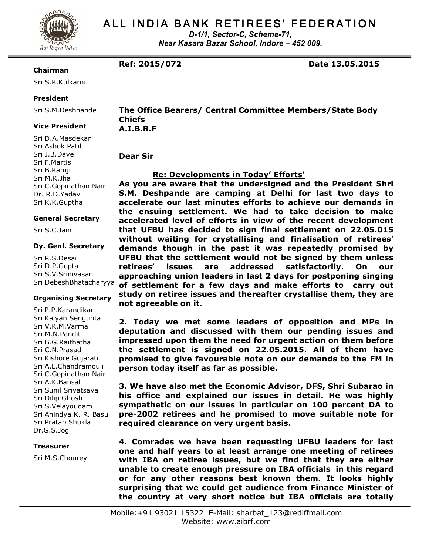

# ALL INDIA BANK RETIREES' FEDERATION

D-1/1, Sector-C, Scheme-71, Near Kasara Bazar School, Indore – 452 009.

Ref: 2015/072 Date 13.05.2015

### Chairman

Sri S.R.Kulkarni

# President

Sri S.M.Deshpande

### Vice President

Sri D.A.Masdekar Sri Ashok Patil Sri J.B.Dave Sri F.Martis Sri B.Ramji Sri M.K.Jha Sri C.Gopinathan Nair Dr. R.D.Yadav Sri K.K.Guptha

### General Secretary

Sri S.C.Jain

#### Dy. Genl. Secretary

Sri R.S.Desai Sri D.P.Gupta Sri S.V.Srinivasan Sri DebeshBhatacharyya

### Organising Secretary

Sri P.P.Karandikar Sri Kalyan Sengupta Sri V.K.M.Varma Sri M.N.Pandit Sri B.G.Raithatha Sri C.N.Prasad Sri Kishore Gujarati Sri A.L.Chandramouli Sri C.Gopinathan Nair Sri A.K.Bansal Sri Sunil Srivatsava Sri Dilip Ghosh Sri S.Velayoudam Sri Anindya K. R. Basu Sri Pratap Shukla Dr.G.S.Jog

### Treasurer

Sri M.S.Chourey

The Office Bearers/ Central Committee Members/State Body Chiefs A.I.B.R.F

Dear Sir

# Re: Developments in Today' Efforts'

As you are aware that the undersigned and the President Shri S.M. Deshpande are camping at Delhi for last two days to accelerate our last minutes efforts to achieve our demands in the ensuing settlement. We had to take decision to make accelerated level of efforts in view of the recent development that UFBU has decided to sign final settlement on 22.05.015 without waiting for crystallising and finalisation of retirees' demands though in the past it was repeatedly promised by UFBU that the settlement would not be signed by them unless retirees' issues are addressed satisfactorily. On our approaching union leaders in last 2 days for postponing singing of settlement for a few days and make efforts to carry out study on retiree issues and thereafter crystallise them, they are not agreeable on it.

2. Today we met some leaders of opposition and MPs in deputation and discussed with them our pending issues and impressed upon them the need for urgent action on them before the settlement is signed on 22.05.2015. All of them have promised to give favourable note on our demands to the FM in person today itself as far as possible.

3. We have also met the Economic Advisor, DFS, Shri Subarao in his office and explained our issues in detail. He was highly sympathetic on our issues in particular on 100 percent DA to pre-2002 retirees and he promised to move suitable note for required clearance on very urgent basis.

4. Comrades we have been requesting UFBU leaders for last one and half years to at least arrange one meeting of retirees with IBA on retiree issues, but we find that they are either unable to create enough pressure on IBA officials in this regard or for any other reasons best known them. It looks highly surprising that we could get audience from Finance Minister of the country at very short notice but IBA officials are totally